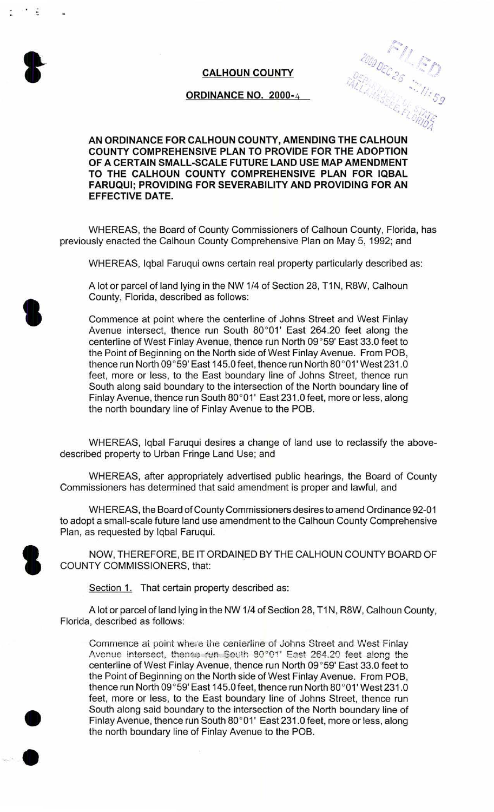

 $\ddot{z}$ 

## **CALHOUN COUNTY**

## **ORDINANCE NO.** 2000- 4

S. FLORIDS

## **AN ORDINANCE FOR CALHOUN COUNTY, AMENDING THE CALHOUN COUNTY COMPREHENSIVE PLAN TO PROVIDE FOR THE ADOPTION OF A CERTAIN SMALL-SCALE FUTURE LAND USE MAP AMENDMENT TO THE CALHOUN COUNTY COMPREHENSIVE PLAN FOR IQBAL FARUQUI; PROVIDING FOR SEVERABILITY AND PROVIDING FOR AN EFFECTIVE DATE.**

WHEREAS, the Board of County Commissioners of Calhoun County, Florida, has previously enacted the Calhoun County Comprehensive Plan on May 5, 1992; and

WHEREAS, Iqbal Faruqui owns certain real property particularly described as:

A lot or parcel of land lying in the NW 1/4 of Section 28, T1N, R8W, Calhoun County, Florida, described as follows:

Commence at point where the centerline of Johns Street and West Finlay Avenue intersect, thence run South 80°01' East 264.20 feet along the centerline of West Finlay Avenue, thence run North 09°59' East 33.0 feet to the Point of Beginning on the North side of West Finlay Avenue. From POB, thence run North 09°59' East 145.0 feet, thence run North 80°01' West 231 .0 feet, more or less, to the East boundary line of Johns Street, thence run South along said boundary to the intersection of the North boundary line of Finlay Avenue, thence run South 80°01' East 231 .0 feet, more or less, along the north boundary line of Finlay Avenue to the POB.

WHEREAS, Iqbal Faruqui desires a change of land use to reclassify the abovedescribed property to Urban Fringe Land Use; and

WHEREAS, after appropriately advertised public hearings, the Board of County Commissioners has determined that said amendment is proper and lawful, and

WHEREAS, the Board of County Commissioners desires to amend Ordinance 92-01 to adopt a small-scale future land use amendment to the Calhoun County Comprehensive Plan, as requested by Iqbal Faruqui.

NOW, THEREFORE, BE IT ORDAINED BY THE CALHOUN COUNTY BOARD OF COUNTY COMMISSIONERS, that:

Section 1. That certain property described as:

A lot or parcel of land lying in the NW 1/4 of Section 28, T1N, R8W, Calhoun County, Florida, described as follows:

Commence at point where the centerline of Johns Street and West Finlay Avenue intersect, thenee run South 80°01' East 264.20 feet along the centerline of West Finlay Avenue, thence run North 09°59' East 33.0 feet to the Point of Beginning on the North side of West Finlay Avenue. From POB, thence run North 09°59' East 145.0 feet, thence run North 80°01' West 231.0 feet, more or less, to the East boundary line of Johns Street, thence run South along said boundary to the intersection of the North boundary line of Finlay Avenue, thence run South 80°01' East 231 .0 feet, more or less, along the north boundary line of Finlay Avenue to the POB.



**'** 

•

•